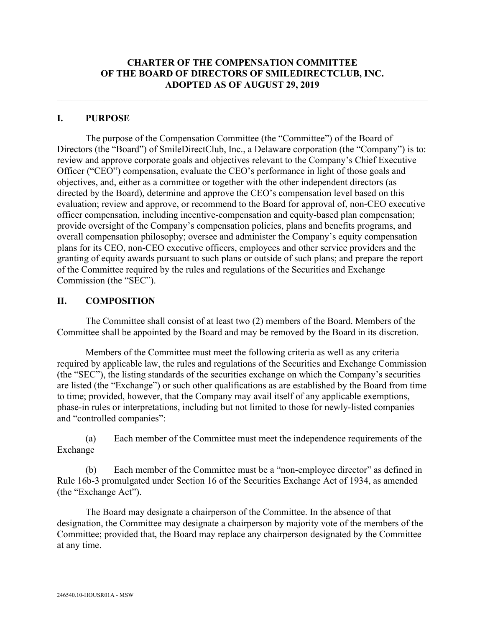## **CHARTER OF THE COMPENSATION COMMITTEE OF THE BOARD OF DIRECTORS OF SMILEDIRECTCLUB, INC. ADOPTED AS OF AUGUST 29, 2019**

## **I. PURPOSE**

The purpose of the Compensation Committee (the "Committee") of the Board of Directors (the "Board") of SmileDirectClub, Inc., a Delaware corporation (the "Company") is to: review and approve corporate goals and objectives relevant to the Company's Chief Executive Officer ("CEO") compensation, evaluate the CEO's performance in light of those goals and objectives, and, either as a committee or together with the other independent directors (as directed by the Board), determine and approve the CEO's compensation level based on this evaluation; review and approve, or recommend to the Board for approval of, non-CEO executive officer compensation, including incentive-compensation and equity-based plan compensation; provide oversight of the Company's compensation policies, plans and benefits programs, and overall compensation philosophy; oversee and administer the Company's equity compensation plans for its CEO, non-CEO executive officers, employees and other service providers and the granting of equity awards pursuant to such plans or outside of such plans; and prepare the report of the Committee required by the rules and regulations of the Securities and Exchange Commission (the "SEC").

### **II. COMPOSITION**

The Committee shall consist of at least two (2) members of the Board. Members of the Committee shall be appointed by the Board and may be removed by the Board in its discretion.

Members of the Committee must meet the following criteria as well as any criteria required by applicable law, the rules and regulations of the Securities and Exchange Commission (the "SEC"), the listing standards of the securities exchange on which the Company's securities are listed (the "Exchange") or such other qualifications as are established by the Board from time to time; provided, however, that the Company may avail itself of any applicable exemptions, phase-in rules or interpretations, including but not limited to those for newly-listed companies and "controlled companies":

(a) Each member of the Committee must meet the independence requirements of the Exchange

(b) Each member of the Committee must be a "non-employee director" as defined in Rule 16b-3 promulgated under Section 16 of the Securities Exchange Act of 1934, as amended (the "Exchange Act").

The Board may designate a chairperson of the Committee. In the absence of that designation, the Committee may designate a chairperson by majority vote of the members of the Committee; provided that, the Board may replace any chairperson designated by the Committee at any time.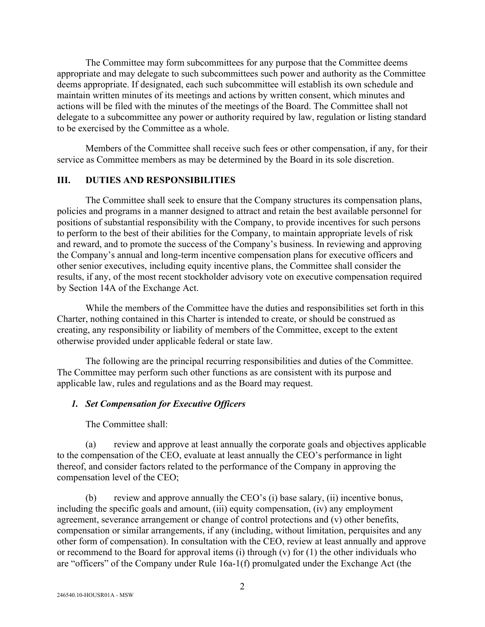The Committee may form subcommittees for any purpose that the Committee deems appropriate and may delegate to such subcommittees such power and authority as the Committee deems appropriate. If designated, each such subcommittee will establish its own schedule and maintain written minutes of its meetings and actions by written consent, which minutes and actions will be filed with the minutes of the meetings of the Board. The Committee shall not delegate to a subcommittee any power or authority required by law, regulation or listing standard to be exercised by the Committee as a whole.

Members of the Committee shall receive such fees or other compensation, if any, for their service as Committee members as may be determined by the Board in its sole discretion.

## **III. DUTIES AND RESPONSIBILITIES**

The Committee shall seek to ensure that the Company structures its compensation plans, policies and programs in a manner designed to attract and retain the best available personnel for positions of substantial responsibility with the Company, to provide incentives for such persons to perform to the best of their abilities for the Company, to maintain appropriate levels of risk and reward, and to promote the success of the Company's business. In reviewing and approving the Company's annual and long-term incentive compensation plans for executive officers and other senior executives, including equity incentive plans, the Committee shall consider the results, if any, of the most recent stockholder advisory vote on executive compensation required by Section 14A of the Exchange Act.

While the members of the Committee have the duties and responsibilities set forth in this Charter, nothing contained in this Charter is intended to create, or should be construed as creating, any responsibility or liability of members of the Committee, except to the extent otherwise provided under applicable federal or state law.

The following are the principal recurring responsibilities and duties of the Committee. The Committee may perform such other functions as are consistent with its purpose and applicable law, rules and regulations and as the Board may request.

#### *1. Set Compensation for Executive Officers*

The Committee shall:

(a) review and approve at least annually the corporate goals and objectives applicable to the compensation of the CEO, evaluate at least annually the CEO's performance in light thereof, and consider factors related to the performance of the Company in approving the compensation level of the CEO;

(b) review and approve annually the CEO's (i) base salary, (ii) incentive bonus, including the specific goals and amount, (iii) equity compensation, (iv) any employment agreement, severance arrangement or change of control protections and (v) other benefits, compensation or similar arrangements, if any (including, without limitation, perquisites and any other form of compensation). In consultation with the CEO, review at least annually and approve or recommend to the Board for approval items (i) through (v) for  $(1)$  the other individuals who are "officers" of the Company under Rule 16a-1(f) promulgated under the Exchange Act (the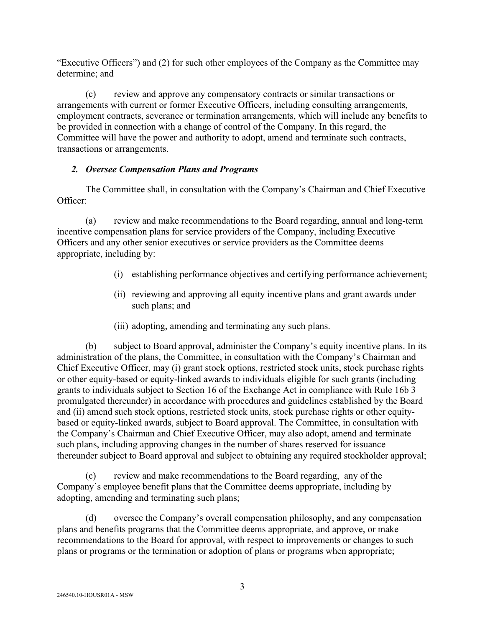"Executive Officers") and (2) for such other employees of the Company as the Committee may determine; and

(c) review and approve any compensatory contracts or similar transactions or arrangements with current or former Executive Officers, including consulting arrangements, employment contracts, severance or termination arrangements, which will include any benefits to be provided in connection with a change of control of the Company. In this regard, the Committee will have the power and authority to adopt, amend and terminate such contracts, transactions or arrangements.

## *2. Oversee Compensation Plans and Programs*

The Committee shall, in consultation with the Company's Chairman and Chief Executive Officer:

(a) review and make recommendations to the Board regarding, annual and long-term incentive compensation plans for service providers of the Company, including Executive Officers and any other senior executives or service providers as the Committee deems appropriate, including by:

- (i) establishing performance objectives and certifying performance achievement;
- (ii) reviewing and approving all equity incentive plans and grant awards under such plans; and
- (iii) adopting, amending and terminating any such plans.

(b) subject to Board approval, administer the Company's equity incentive plans. In its administration of the plans, the Committee, in consultation with the Company's Chairman and Chief Executive Officer, may (i) grant stock options, restricted stock units, stock purchase rights or other equity-based or equity-linked awards to individuals eligible for such grants (including grants to individuals subject to Section 16 of the Exchange Act in compliance with Rule 16b 3 promulgated thereunder) in accordance with procedures and guidelines established by the Board and (ii) amend such stock options, restricted stock units, stock purchase rights or other equitybased or equity-linked awards, subject to Board approval. The Committee, in consultation with the Company's Chairman and Chief Executive Officer, may also adopt, amend and terminate such plans, including approving changes in the number of shares reserved for issuance thereunder subject to Board approval and subject to obtaining any required stockholder approval;

(c) review and make recommendations to the Board regarding, any of the Company's employee benefit plans that the Committee deems appropriate, including by adopting, amending and terminating such plans;

(d) oversee the Company's overall compensation philosophy, and any compensation plans and benefits programs that the Committee deems appropriate, and approve, or make recommendations to the Board for approval, with respect to improvements or changes to such plans or programs or the termination or adoption of plans or programs when appropriate;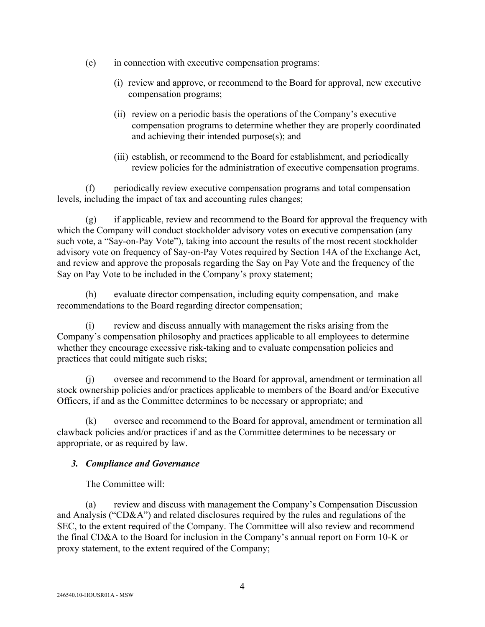- (e) in connection with executive compensation programs:
	- (i) review and approve, or recommend to the Board for approval, new executive compensation programs;
	- (ii) review on a periodic basis the operations of the Company's executive compensation programs to determine whether they are properly coordinated and achieving their intended purpose(s); and
	- (iii) establish, or recommend to the Board for establishment, and periodically review policies for the administration of executive compensation programs.

(f) periodically review executive compensation programs and total compensation levels, including the impact of tax and accounting rules changes;

(g) if applicable, review and recommend to the Board for approval the frequency with which the Company will conduct stockholder advisory votes on executive compensation (any such vote, a "Say-on-Pay Vote"), taking into account the results of the most recent stockholder advisory vote on frequency of Say-on-Pay Votes required by Section 14A of the Exchange Act, and review and approve the proposals regarding the Say on Pay Vote and the frequency of the Say on Pay Vote to be included in the Company's proxy statement;

(h) evaluate director compensation, including equity compensation, and make recommendations to the Board regarding director compensation;

(i) review and discuss annually with management the risks arising from the Company's compensation philosophy and practices applicable to all employees to determine whether they encourage excessive risk-taking and to evaluate compensation policies and practices that could mitigate such risks;

(j) oversee and recommend to the Board for approval, amendment or termination all stock ownership policies and/or practices applicable to members of the Board and/or Executive Officers, if and as the Committee determines to be necessary or appropriate; and

(k) oversee and recommend to the Board for approval, amendment or termination all clawback policies and/or practices if and as the Committee determines to be necessary or appropriate, or as required by law.

## *3. Compliance and Governance*

The Committee will:

(a) review and discuss with management the Company's Compensation Discussion and Analysis ("CD&A") and related disclosures required by the rules and regulations of the SEC, to the extent required of the Company. The Committee will also review and recommend the final CD&A to the Board for inclusion in the Company's annual report on Form 10-K or proxy statement, to the extent required of the Company;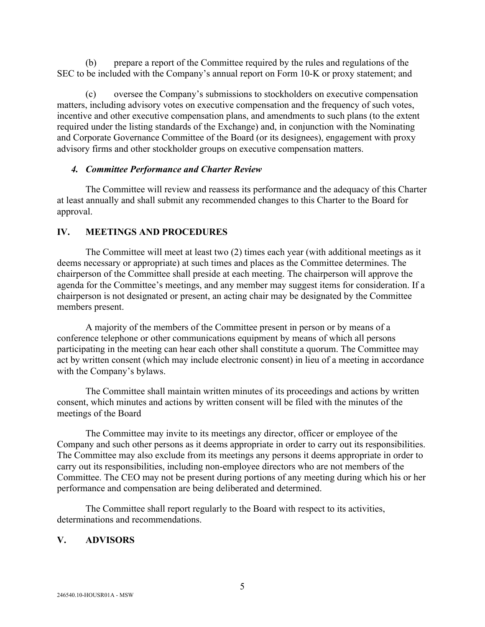(b) prepare a report of the Committee required by the rules and regulations of the SEC to be included with the Company's annual report on Form 10-K or proxy statement; and

(c) oversee the Company's submissions to stockholders on executive compensation matters, including advisory votes on executive compensation and the frequency of such votes, incentive and other executive compensation plans, and amendments to such plans (to the extent required under the listing standards of the Exchange) and, in conjunction with the Nominating and Corporate Governance Committee of the Board (or its designees), engagement with proxy advisory firms and other stockholder groups on executive compensation matters.

### *4. Committee Performance and Charter Review*

The Committee will review and reassess its performance and the adequacy of this Charter at least annually and shall submit any recommended changes to this Charter to the Board for approval.

## **IV. MEETINGS AND PROCEDURES**

The Committee will meet at least two (2) times each year (with additional meetings as it deems necessary or appropriate) at such times and places as the Committee determines. The chairperson of the Committee shall preside at each meeting. The chairperson will approve the agenda for the Committee's meetings, and any member may suggest items for consideration. If a chairperson is not designated or present, an acting chair may be designated by the Committee members present.

A majority of the members of the Committee present in person or by means of a conference telephone or other communications equipment by means of which all persons participating in the meeting can hear each other shall constitute a quorum. The Committee may act by written consent (which may include electronic consent) in lieu of a meeting in accordance with the Company's bylaws.

The Committee shall maintain written minutes of its proceedings and actions by written consent, which minutes and actions by written consent will be filed with the minutes of the meetings of the Board

The Committee may invite to its meetings any director, officer or employee of the Company and such other persons as it deems appropriate in order to carry out its responsibilities. The Committee may also exclude from its meetings any persons it deems appropriate in order to carry out its responsibilities, including non-employee directors who are not members of the Committee. The CEO may not be present during portions of any meeting during which his or her performance and compensation are being deliberated and determined.

The Committee shall report regularly to the Board with respect to its activities, determinations and recommendations.

# **V. ADVISORS**